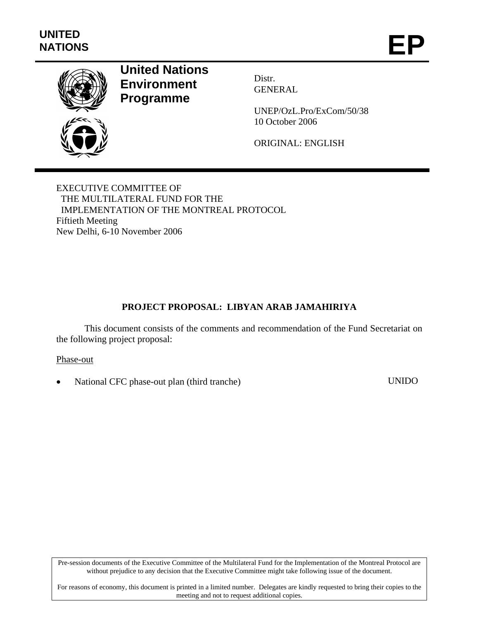

# **United Nations Environment Programme**

Distr. GENERAL

UNEP/OzL.Pro/ExCom/50/38 10 October 2006

ORIGINAL: ENGLISH

EXECUTIVE COMMITTEE OF THE MULTILATERAL FUND FOR THE IMPLEMENTATION OF THE MONTREAL PROTOCOL Fiftieth Meeting New Delhi, 6-10 November 2006

# **PROJECT PROPOSAL: LIBYAN ARAB JAMAHIRIYA**

This document consists of the comments and recommendation of the Fund Secretariat on the following project proposal:

Phase-out

• National CFC phase-out plan (third tranche) UNIDO

Pre-session documents of the Executive Committee of the Multilateral Fund for the Implementation of the Montreal Protocol are without prejudice to any decision that the Executive Committee might take following issue of the document.

For reasons of economy, this document is printed in a limited number. Delegates are kindly requested to bring their copies to the meeting and not to request additional copies.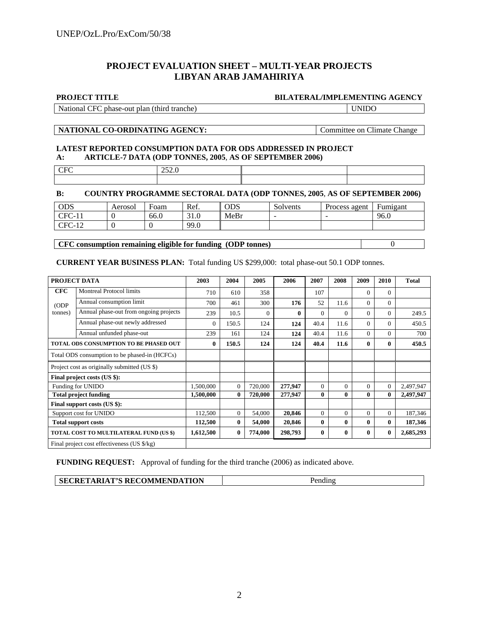#### **PROJECT EVALUATION SHEET – MULTI-YEAR PROJECTS LIBYAN ARAB JAMAHIRIYA**

#### **PROJECT TITLE BILATERAL/IMPLEMENTING AGENCY**

National CFC phase-out plan (third tranche) UNIDO

#### **NATIONAL CO-ORDINATING AGENCY:** Committee on Climate Change

#### **LATEST REPORTED CONSUMPTION DATA FOR ODS ADDRESSED IN PROJECT A: ARTICLE-7 DATA (ODP TONNES, 2005**, **AS OF SEPTEMBER 2006)**

| 22.0 |  |
|------|--|
|      |  |

#### **B: COUNTRY PROGRAMME SECTORAL DATA (ODP TONNES, 2005**, **AS OF SEPTEMBER 2006)**

| ODS                                        | Aerosol | Foam | Ref. | ODS  | Solvents | Process agent | Fumigant |
|--------------------------------------------|---------|------|------|------|----------|---------------|----------|
| $TEC-1.$                                   |         | 66.0 | 31.0 | MeBr | -        |               | 96.0     |
| $\cap$ F $\cap$<br>1 <sub>0</sub><br>$-14$ |         |      | 99.0 |      |          |               |          |

**CFC consumption remaining eligible for funding (ODP tonnes)** 0

#### **CURRENT YEAR BUSINESS PLAN:** Total funding US \$299,000: total phase-out 50.1 ODP tonnes.

|            | PROJECT DATA                                  | 2003      | 2004     | 2005     | 2006    | 2007         | 2008         | 2009         | 2010         | <b>Total</b> |
|------------|-----------------------------------------------|-----------|----------|----------|---------|--------------|--------------|--------------|--------------|--------------|
| <b>CFC</b> | <b>Montreal Protocol limits</b>               | 710       | 610      | 358      |         | 107          |              | $\mathbf{0}$ | $\Omega$     |              |
| (ODP       | Annual consumption limit                      | 700       | 461      | 300      | 176     | 52           | 11.6         | $\Omega$     | $\Omega$     |              |
| tonnes)    | Annual phase-out from ongoing projects        | 239       | 10.5     | $\Omega$ | 0       | $\Omega$     | $\Omega$     | $\Omega$     | $\Omega$     | 249.5        |
|            | Annual phase-out newly addressed              | $\Omega$  | 150.5    | 124      | 124     | 40.4         | 11.6         | $\Omega$     | $\Omega$     | 450.5        |
|            | Annual unfunded phase-out                     | 239       | 161      | 124      | 124     | 40.4         | 11.6         | $\Omega$     | $\Omega$     | 700          |
|            | <b>TOTAL ODS CONSUMPTION TO BE PHASED OUT</b> | $\bf{0}$  | 150.5    | 124      | 124     | 40.4         | 11.6         | $\bf{0}$     | $\mathbf{0}$ | 450.5        |
|            | Total ODS consumption to be phased-in (HCFCs) |           |          |          |         |              |              |              |              |              |
|            | Project cost as originally submitted (US \$)  |           |          |          |         |              |              |              |              |              |
|            | Final project costs (US \$):                  |           |          |          |         |              |              |              |              |              |
|            | Funding for UNIDO                             | 1,500,000 | $\Omega$ | 720,000  | 277,947 | $\Omega$     | $\Omega$     | $\Omega$     | $\Omega$     | 2,497,947    |
|            | <b>Total project funding</b>                  | 1,500,000 | $\bf{0}$ | 720,000  | 277,947 | $\mathbf{0}$ | $\mathbf{0}$ | $\mathbf{0}$ | $\mathbf{0}$ | 2,497,947    |
|            | Final support costs (US \$):                  |           |          |          |         |              |              |              |              |              |
|            | Support cost for UNIDO                        | 112,500   | $\Omega$ | 54,000   | 20,846  | $\Omega$     | $\Omega$     | $\Omega$     | $\Omega$     | 187,346      |
|            | <b>Total support costs</b>                    | 112,500   | $\bf{0}$ | 54,000   | 20,846  | $\mathbf{0}$ | 0            | $\mathbf{0}$ | $\mathbf{0}$ | 187,346      |
|            | TOTAL COST TO MULTILATERAL FUND (US \$)       | 1,612,500 | $\bf{0}$ | 774,000  | 298,793 | $\mathbf{0}$ | 0            | $\mathbf{0}$ | $\mathbf{0}$ | 2,685,293    |
|            | Final project cost effectiveness (US \$/kg)   |           |          |          |         |              |              |              |              |              |

**FUNDING REQUEST:** Approval of funding for the third tranche (2006) as indicated above.

| SECRETARIAT'S RECOMMENDATION | Pending |
|------------------------------|---------|
|                              |         |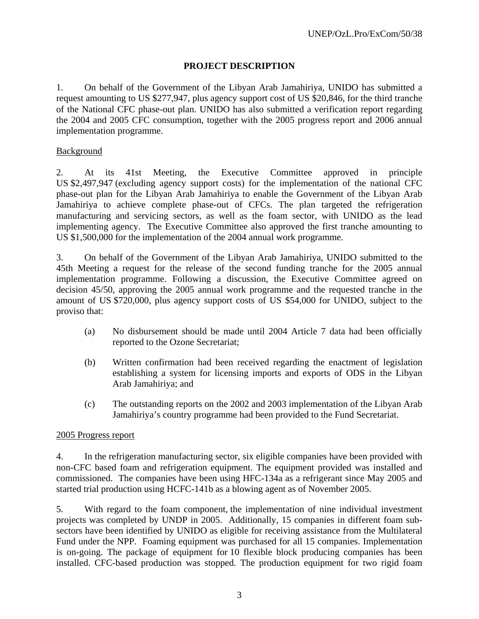# **PROJECT DESCRIPTION**

1. On behalf of the Government of the Libyan Arab Jamahiriya, UNIDO has submitted a request amounting to US \$277,947, plus agency support cost of US \$20,846, for the third tranche of the National CFC phase-out plan. UNIDO has also submitted a verification report regarding the 2004 and 2005 CFC consumption, together with the 2005 progress report and 2006 annual implementation programme.

#### Background

2. At its 41st Meeting, the Executive Committee approved in principle US \$2,497,947 (excluding agency support costs) for the implementation of the national CFC phase-out plan for the Libyan Arab Jamahiriya to enable the Government of the Libyan Arab Jamahiriya to achieve complete phase-out of CFCs. The plan targeted the refrigeration manufacturing and servicing sectors, as well as the foam sector, with UNIDO as the lead implementing agency. The Executive Committee also approved the first tranche amounting to US \$1,500,000 for the implementation of the 2004 annual work programme.

3. On behalf of the Government of the Libyan Arab Jamahiriya, UNIDO submitted to the 45th Meeting a request for the release of the second funding tranche for the 2005 annual implementation programme. Following a discussion, the Executive Committee agreed on decision 45/50, approving the 2005 annual work programme and the requested tranche in the amount of US \$720,000, plus agency support costs of US \$54,000 for UNIDO, subject to the proviso that:

- (a) No disbursement should be made until 2004 Article 7 data had been officially reported to the Ozone Secretariat;
- (b) Written confirmation had been received regarding the enactment of legislation establishing a system for licensing imports and exports of ODS in the Libyan Arab Jamahiriya; and
- (c) The outstanding reports on the 2002 and 2003 implementation of the Libyan Arab Jamahiriya's country programme had been provided to the Fund Secretariat.

#### 2005 Progress report

4. In the refrigeration manufacturing sector, six eligible companies have been provided with non-CFC based foam and refrigeration equipment. The equipment provided was installed and commissioned. The companies have been using HFC-134a as a refrigerant since May 2005 and started trial production using HCFC-141b as a blowing agent as of November 2005.

5. With regard to the foam component, the implementation of nine individual investment projects was completed by UNDP in 2005. Additionally, 15 companies in different foam subsectors have been identified by UNIDO as eligible for receiving assistance from the Multilateral Fund under the NPP. Foaming equipment was purchased for all 15 companies. Implementation is on-going. The package of equipment for 10 flexible block producing companies has been installed. CFC-based production was stopped. The production equipment for two rigid foam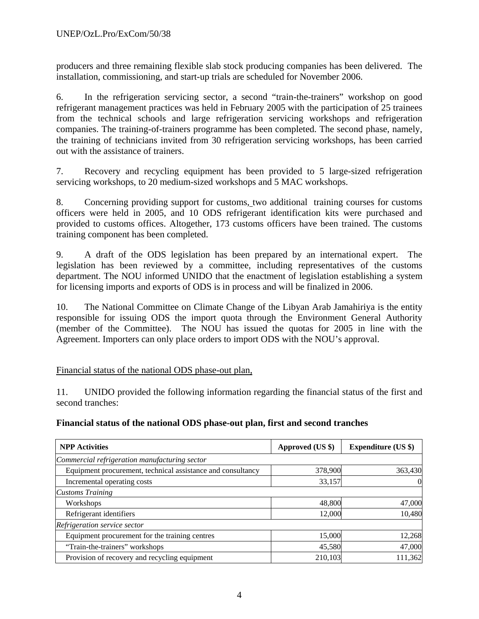producers and three remaining flexible slab stock producing companies has been delivered. The installation, commissioning, and start-up trials are scheduled for November 2006.

6. In the refrigeration servicing sector, a second "train-the-trainers" workshop on good refrigerant management practices was held in February 2005 with the participation of 25 trainees from the technical schools and large refrigeration servicing workshops and refrigeration companies. The training-of-trainers programme has been completed. The second phase, namely, the training of technicians invited from 30 refrigeration servicing workshops, has been carried out with the assistance of trainers.

7. Recovery and recycling equipment has been provided to 5 large-sized refrigeration servicing workshops, to 20 medium-sized workshops and 5 MAC workshops.

8. Concerning providing support for customs, two additional training courses for customs officers were held in 2005, and 10 ODS refrigerant identification kits were purchased and provided to customs offices. Altogether, 173 customs officers have been trained. The customs training component has been completed.

9. A draft of the ODS legislation has been prepared by an international expert. The legislation has been reviewed by a committee, including representatives of the customs department. The NOU informed UNIDO that the enactment of legislation establishing a system for licensing imports and exports of ODS is in process and will be finalized in 2006.

10. The National Committee on Climate Change of the Libyan Arab Jamahiriya is the entity responsible for issuing ODS the import quota through the Environment General Authority (member of the Committee). The NOU has issued the quotas for 2005 in line with the Agreement. Importers can only place orders to import ODS with the NOU's approval.

# Financial status of the national ODS phase-out plan,

11. UNIDO provided the following information regarding the financial status of the first and second tranches:

#### **Financial status of the national ODS phase-out plan, first and second tranches**

| <b>NPP</b> Activities                                       | Approved (US \$) | <b>Expenditure (US \$)</b> |  |
|-------------------------------------------------------------|------------------|----------------------------|--|
| Commercial refrigeration manufacturing sector               |                  |                            |  |
| Equipment procurement, technical assistance and consultancy | 378,900          | 363,430                    |  |
| Incremental operating costs                                 | 33,157           | 0                          |  |
| <b>Customs Training</b>                                     |                  |                            |  |
| Workshops                                                   | 48,800           | 47,000                     |  |
| Refrigerant identifiers                                     | 12,000           | 10,480                     |  |
| Refrigeration service sector                                |                  |                            |  |
| Equipment procurement for the training centres              | 15,000           | 12,268                     |  |
| "Train-the-trainers" workshops                              | 45,580           | 47,000                     |  |
| Provision of recovery and recycling equipment               | 210,103          | 111,362                    |  |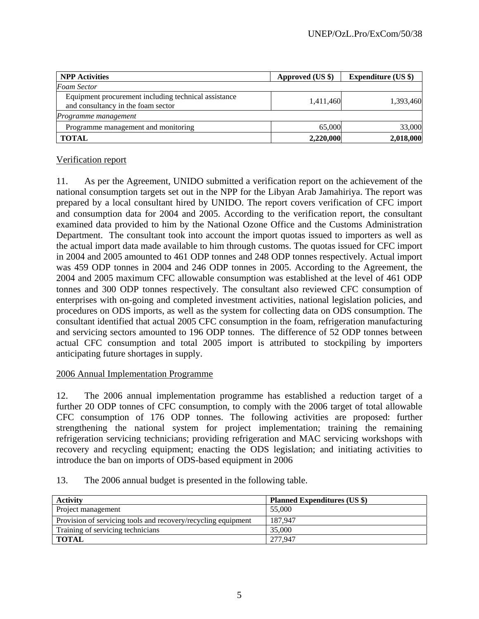| <b>NPP</b> Activities                                                                      | Approved (US \$) | <b>Expenditure (US \$)</b> |  |
|--------------------------------------------------------------------------------------------|------------------|----------------------------|--|
| <b>Foam Sector</b>                                                                         |                  |                            |  |
| Equipment procurement including technical assistance<br>and consultancy in the foam sector | 1,411,460        | 1,393,460                  |  |
| <i>Programme management</i>                                                                |                  |                            |  |
| Programme management and monitoring                                                        | 65,000           | 33,000                     |  |
| <b>TOTAL</b>                                                                               | 2,220,000        | 2,018,000                  |  |

# Verification report

11. As per the Agreement, UNIDO submitted a verification report on the achievement of the national consumption targets set out in the NPP for the Libyan Arab Jamahiriya. The report was prepared by a local consultant hired by UNIDO. The report covers verification of CFC import and consumption data for 2004 and 2005. According to the verification report, the consultant examined data provided to him by the National Ozone Office and the Customs Administration Department. The consultant took into account the import quotas issued to importers as well as the actual import data made available to him through customs. The quotas issued for CFC import in 2004 and 2005 amounted to 461 ODP tonnes and 248 ODP tonnes respectively. Actual import was 459 ODP tonnes in 2004 and 246 ODP tonnes in 2005. According to the Agreement, the 2004 and 2005 maximum CFC allowable consumption was established at the level of 461 ODP tonnes and 300 ODP tonnes respectively. The consultant also reviewed CFC consumption of enterprises with on-going and completed investment activities, national legislation policies, and procedures on ODS imports, as well as the system for collecting data on ODS consumption. The consultant identified that actual 2005 CFC consumption in the foam, refrigeration manufacturing and servicing sectors amounted to 196 ODP tonnes. The difference of 52 ODP tonnes between actual CFC consumption and total 2005 import is attributed to stockpiling by importers anticipating future shortages in supply.

#### 2006 Annual Implementation Programme

12. The 2006 annual implementation programme has established a reduction target of a further 20 ODP tonnes of CFC consumption, to comply with the 2006 target of total allowable CFC consumption of 176 ODP tonnes. The following activities are proposed: further strengthening the national system for project implementation; training the remaining refrigeration servicing technicians; providing refrigeration and MAC servicing workshops with recovery and recycling equipment; enacting the ODS legislation; and initiating activities to introduce the ban on imports of ODS-based equipment in 2006

#### 13. The 2006 annual budget is presented in the following table.

| <b>Activity</b>                                               | <b>Planned Expenditures (US \$)</b> |
|---------------------------------------------------------------|-------------------------------------|
| Project management                                            | 55,000                              |
| Provision of servicing tools and recovery/recycling equipment | 187.947                             |
| Training of servicing technicians                             | 35,000                              |
| <b>TOTAL</b>                                                  | 277,947                             |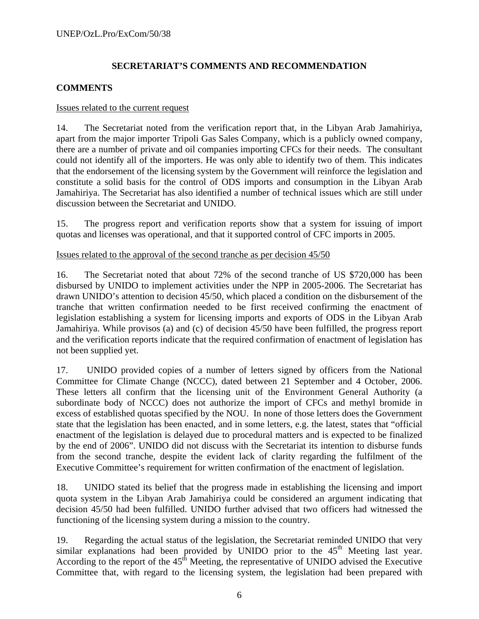# **SECRETARIAT'S COMMENTS AND RECOMMENDATION**

# **COMMENTS**

#### Issues related to the current request

14. The Secretariat noted from the verification report that, in the Libyan Arab Jamahiriya, apart from the major importer Tripoli Gas Sales Company, which is a publicly owned company, there are a number of private and oil companies importing CFCs for their needs. The consultant could not identify all of the importers. He was only able to identify two of them. This indicates that the endorsement of the licensing system by the Government will reinforce the legislation and constitute a solid basis for the control of ODS imports and consumption in the Libyan Arab Jamahiriya. The Secretariat has also identified a number of technical issues which are still under discussion between the Secretariat and UNIDO.

15. The progress report and verification reports show that a system for issuing of import quotas and licenses was operational, and that it supported control of CFC imports in 2005.

#### Issues related to the approval of the second tranche as per decision 45/50

16. The Secretariat noted that about 72% of the second tranche of US \$720,000 has been disbursed by UNIDO to implement activities under the NPP in 2005-2006. The Secretariat has drawn UNIDO's attention to decision 45/50, which placed a condition on the disbursement of the tranche that written confirmation needed to be first received confirming the enactment of legislation establishing a system for licensing imports and exports of ODS in the Libyan Arab Jamahiriya. While provisos (a) and (c) of decision 45/50 have been fulfilled, the progress report and the verification reports indicate that the required confirmation of enactment of legislation has not been supplied yet.

17. UNIDO provided copies of a number of letters signed by officers from the National Committee for Climate Change (NCCC), dated between 21 September and 4 October, 2006. These letters all confirm that the licensing unit of the Environment General Authority (a subordinate body of NCCC) does not authorize the import of CFCs and methyl bromide in excess of established quotas specified by the NOU. In none of those letters does the Government state that the legislation has been enacted, and in some letters, e.g. the latest, states that "official enactment of the legislation is delayed due to procedural matters and is expected to be finalized by the end of 2006". UNIDO did not discuss with the Secretariat its intention to disburse funds from the second tranche, despite the evident lack of clarity regarding the fulfilment of the Executive Committee's requirement for written confirmation of the enactment of legislation.

18. UNIDO stated its belief that the progress made in establishing the licensing and import quota system in the Libyan Arab Jamahiriya could be considered an argument indicating that decision 45/50 had been fulfilled. UNIDO further advised that two officers had witnessed the functioning of the licensing system during a mission to the country.

19. Regarding the actual status of the legislation, the Secretariat reminded UNIDO that very similar explanations had been provided by UNIDO prior to the  $45<sup>th</sup>$  Meeting last year. According to the report of the  $45<sup>th</sup>$  Meeting, the representative of UNIDO advised the Executive Committee that, with regard to the licensing system, the legislation had been prepared with